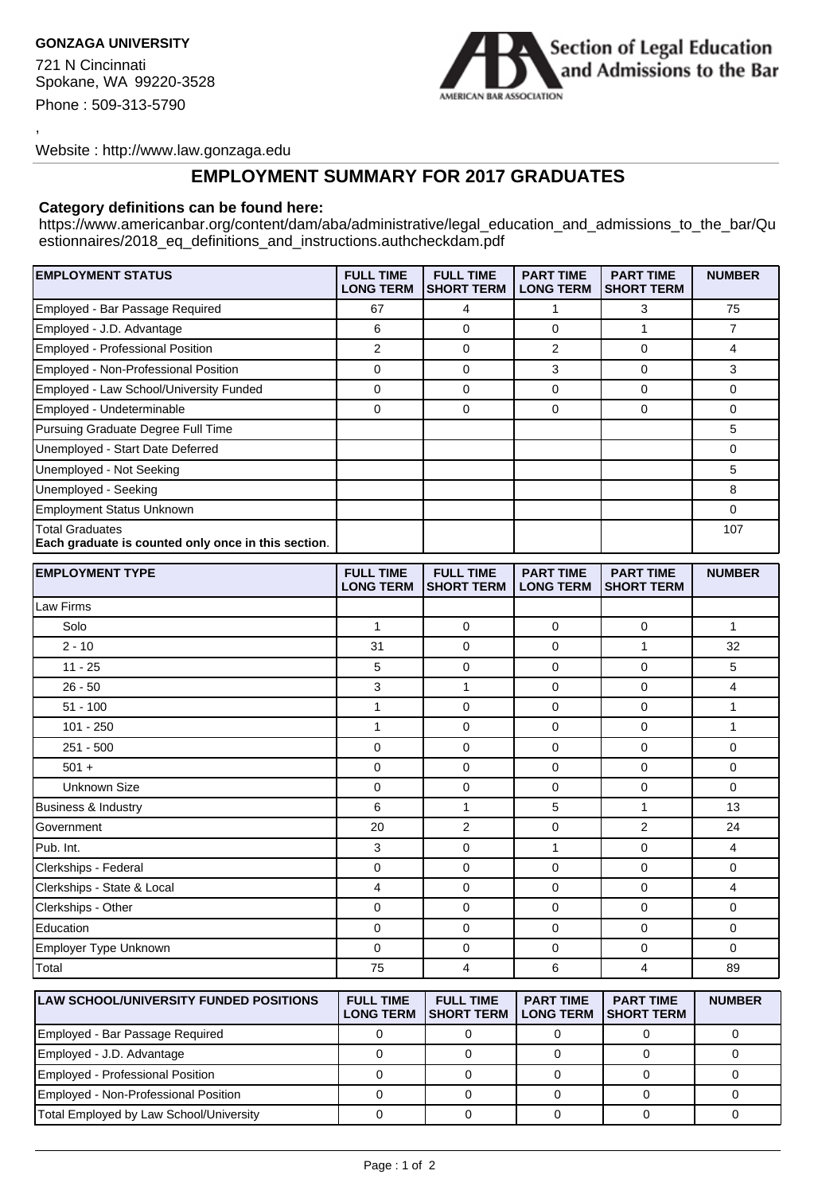## **GONZAGA UNIVERSITY**

,

721 N Cincinnati Spokane, WA 99220-3528 Phone : 509-313-5790



Website : http://www.law.gonzaga.edu

## **EMPLOYMENT SUMMARY FOR 2017 GRADUATES**

## **Category definitions can be found here:**

https://www.americanbar.org/content/dam/aba/administrative/legal\_education\_and\_admissions\_to\_the\_bar/Qu estionnaires/2018\_eq\_definitions\_and\_instructions.authcheckdam.pdf

| <b>EMPLOYMENT STATUS</b>                                                      | <b>FULL TIME</b><br><b>LONG TERM</b> | <b>FULL TIME</b><br><b>SHORT TERM</b> | <b>PART TIME</b><br><b>LONG TERM</b> | <b>PART TIME</b><br><b>SHORT TERM</b> | <b>NUMBER</b>  |
|-------------------------------------------------------------------------------|--------------------------------------|---------------------------------------|--------------------------------------|---------------------------------------|----------------|
| Employed - Bar Passage Required                                               | 67                                   | 4                                     | 1                                    | 3                                     | 75             |
| Employed - J.D. Advantage                                                     | 6                                    | 0                                     | 0                                    | 1                                     | $\overline{7}$ |
| Employed - Professional Position                                              | $\overline{2}$                       | 0                                     | 2                                    | 0                                     | 4              |
| Employed - Non-Professional Position                                          | $\mathbf 0$                          | $\mathbf 0$                           | 3                                    | $\mathbf 0$                           | 3              |
| Employed - Law School/University Funded                                       | $\mathbf 0$                          | $\mathbf 0$                           | $\mathbf 0$                          | $\mathbf 0$                           | 0              |
| Employed - Undeterminable                                                     | $\mathbf 0$                          | $\mathbf 0$                           | $\mathbf 0$                          | $\mathbf 0$                           | 0              |
| Pursuing Graduate Degree Full Time                                            |                                      |                                       |                                      |                                       | 5              |
| Unemployed - Start Date Deferred                                              |                                      |                                       |                                      |                                       | 0              |
| Unemployed - Not Seeking                                                      |                                      |                                       |                                      |                                       | 5              |
| Unemployed - Seeking                                                          |                                      |                                       |                                      |                                       | 8              |
| <b>Employment Status Unknown</b>                                              |                                      |                                       |                                      |                                       | 0              |
| <b>Total Graduates</b><br>Each graduate is counted only once in this section. |                                      |                                       |                                      |                                       | 107            |
| <b>EMPLOYMENT TYPE</b>                                                        | <b>FULL TIME</b><br><b>LONG TERM</b> | <b>FULL TIME</b><br><b>SHORT TERM</b> | <b>PART TIME</b><br><b>LONG TERM</b> | <b>PART TIME</b><br><b>SHORT TERM</b> | <b>NUMBER</b>  |
| Law Firms                                                                     |                                      |                                       |                                      |                                       |                |
| Solo                                                                          | 1                                    | 0                                     | 0                                    | 0                                     | $\mathbf{1}$   |
| $2 - 10$                                                                      | 31                                   | $\mathbf 0$                           | 0                                    | $\mathbf{1}$                          | 32             |
| $11 - 25$                                                                     | 5                                    | $\mathbf 0$                           | 0                                    | $\mathbf 0$                           | 5              |
| $26 - 50$                                                                     | 3                                    | $\mathbf{1}$                          | 0                                    | 0                                     | 4              |
| $51 - 100$                                                                    | $\mathbf{1}$                         | 0                                     | 0                                    | 0                                     | 1              |
| $101 - 250$                                                                   | $\mathbf{1}$                         | $\mathbf 0$                           | 0                                    | $\mathbf 0$                           | 1              |
| $251 - 500$                                                                   | $\mathbf 0$                          | $\mathbf 0$                           | 0                                    | $\mathbf 0$                           | 0              |
| $501 +$                                                                       | $\mathbf 0$                          | $\mathbf 0$                           | 0                                    | $\mathbf 0$                           | 0              |
| Unknown Size                                                                  | $\mathbf 0$                          | $\mathbf 0$                           | 0                                    | $\mathbf 0$                           | 0              |
| <b>Business &amp; Industry</b>                                                | 6                                    | $\mathbf{1}$                          | 5                                    | $\mathbf{1}$                          | 13             |
| Government                                                                    | 20                                   | $\overline{2}$                        | $\mathbf 0$                          | $\overline{2}$                        | 24             |
| Pub. Int.                                                                     | 3                                    | 0                                     | 1                                    | 0                                     | 4              |
| Clerkships - Federal                                                          | $\mathbf 0$                          | 0                                     | 0                                    | 0                                     | 0              |
| Clerkships - State & Local                                                    | 4                                    | $\mathbf 0$                           | $\mathbf 0$                          | $\mathbf 0$                           | 4              |
| Clerkships - Other                                                            | $\mathbf 0$                          | $\mathbf 0$                           | $\mathbf 0$                          | $\mathbf 0$                           | 0              |
| Education                                                                     | $\mathbf 0$                          | $\mathbf 0$                           | $\mathbf 0$                          | $\mathbf 0$                           | 0              |
| Employer Type Unknown                                                         | 0                                    | 0                                     | 0                                    | 0                                     | 0              |
| Total                                                                         | 75                                   | 4                                     | 6                                    | 4                                     | 89             |
| <b>LAW SCHOOL/UNIVERSITY FUNDED POSITIONS</b>                                 | <b>FULL TIME</b>                     | <b>FULL TIME</b>                      | <b>PART TIME</b>                     | <b>PART TIME</b>                      | <b>NUMBER</b>  |

| <b>ILAW SCHOOL/UNIVERSITY FUNDED POSITIONS</b> | <b>FULL TIME</b><br><b>LONG TERM</b> | <b>FULL TIME</b><br><b>ISHORT TERM</b> | <b>PART TIME</b><br><b>LONG TERM</b> | <b>PART TIME</b><br><b>ISHORT TERM</b> | <b>NUMBER</b> |
|------------------------------------------------|--------------------------------------|----------------------------------------|--------------------------------------|----------------------------------------|---------------|
| Employed - Bar Passage Required                |                                      |                                        |                                      |                                        |               |
| Employed - J.D. Advantage                      |                                      |                                        |                                      |                                        |               |
| Employed - Professional Position               |                                      |                                        |                                      |                                        |               |
| Employed - Non-Professional Position           |                                      |                                        |                                      |                                        |               |
| Total Employed by Law School/University        |                                      |                                        |                                      |                                        |               |